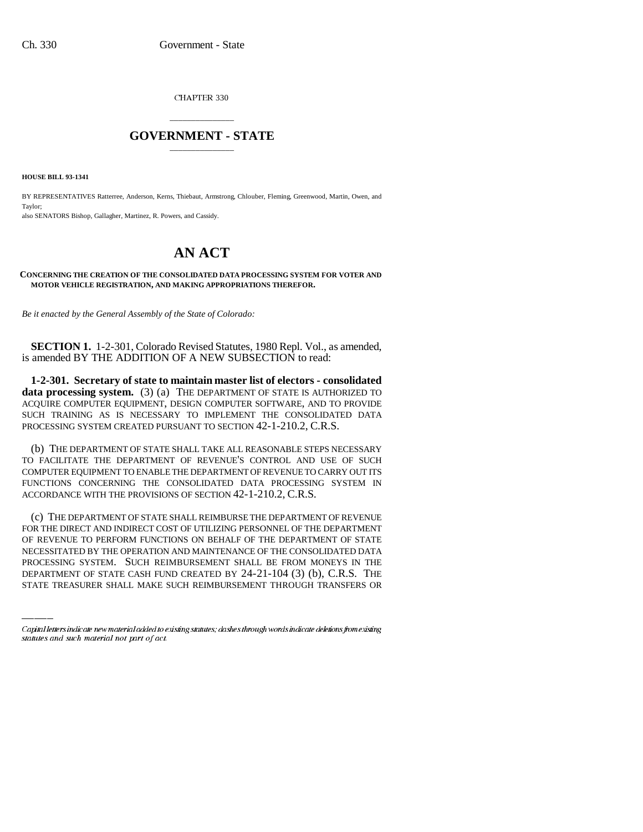CHAPTER 330

## \_\_\_\_\_\_\_\_\_\_\_\_\_\_\_ **GOVERNMENT - STATE** \_\_\_\_\_\_\_\_\_\_\_\_\_\_\_

**HOUSE BILL 93-1341**

BY REPRESENTATIVES Ratterree, Anderson, Kerns, Thiebaut, Armstrong, Chlouber, Fleming, Greenwood, Martin, Owen, and Taylor; also SENATORS Bishop, Gallagher, Martinez, R. Powers, and Cassidy.

## **AN ACT**

## **CONCERNING THE CREATION OF THE CONSOLIDATED DATA PROCESSING SYSTEM FOR VOTER AND MOTOR VEHICLE REGISTRATION, AND MAKING APPROPRIATIONS THEREFOR.**

*Be it enacted by the General Assembly of the State of Colorado:*

**SECTION 1.** 1-2-301, Colorado Revised Statutes, 1980 Repl. Vol., as amended, is amended BY THE ADDITION OF A NEW SUBSECTION to read:

**1-2-301. Secretary of state to maintain master list of electors - consolidated** data processing system. (3) (a) THE DEPARTMENT OF STATE IS AUTHORIZED TO ACQUIRE COMPUTER EQUIPMENT, DESIGN COMPUTER SOFTWARE, AND TO PROVIDE SUCH TRAINING AS IS NECESSARY TO IMPLEMENT THE CONSOLIDATED DATA PROCESSING SYSTEM CREATED PURSUANT TO SECTION 42-1-210.2, C.R.S.

(b) THE DEPARTMENT OF STATE SHALL TAKE ALL REASONABLE STEPS NECESSARY TO FACILITATE THE DEPARTMENT OF REVENUE'S CONTROL AND USE OF SUCH COMPUTER EQUIPMENT TO ENABLE THE DEPARTMENT OF REVENUE TO CARRY OUT ITS FUNCTIONS CONCERNING THE CONSOLIDATED DATA PROCESSING SYSTEM IN ACCORDANCE WITH THE PROVISIONS OF SECTION 42-1-210.2, C.R.S.

OF REVENUE TO PERFORM FUNCTIONS ON BEHALF OF THE DEPARTMENT OF STATE (c) THE DEPARTMENT OF STATE SHALL REIMBURSE THE DEPARTMENT OF REVENUE FOR THE DIRECT AND INDIRECT COST OF UTILIZING PERSONNEL OF THE DEPARTMENT NECESSITATED BY THE OPERATION AND MAINTENANCE OF THE CONSOLIDATED DATA PROCESSING SYSTEM. SUCH REIMBURSEMENT SHALL BE FROM MONEYS IN THE DEPARTMENT OF STATE CASH FUND CREATED BY 24-21-104 (3) (b), C.R.S. THE STATE TREASURER SHALL MAKE SUCH REIMBURSEMENT THROUGH TRANSFERS OR

Capital letters indicate new material added to existing statutes; dashes through words indicate deletions from existing statutes and such material not part of act.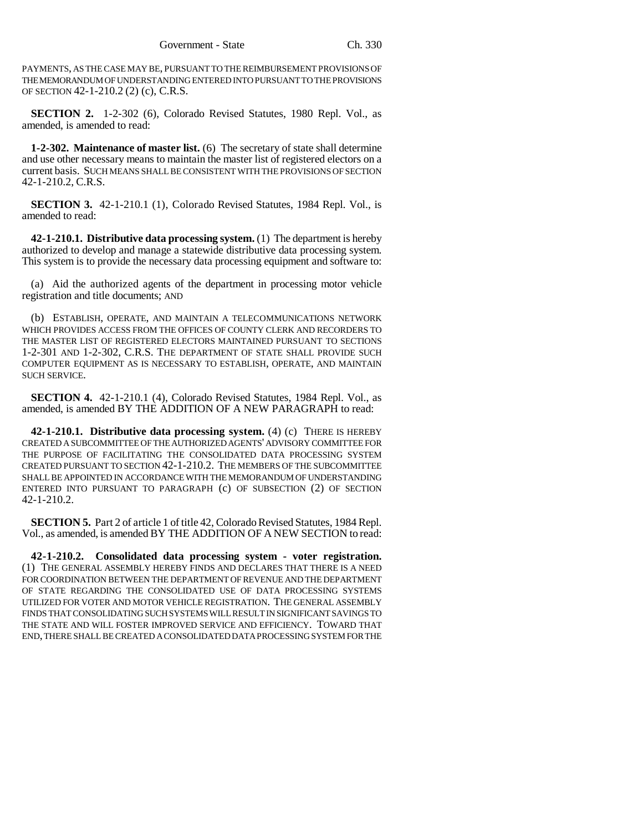PAYMENTS, AS THE CASE MAY BE, PURSUANT TO THE REIMBURSEMENT PROVISIONS OF THE MEMORANDUM OF UNDERSTANDING ENTERED INTO PURSUANT TO THE PROVISIONS OF SECTION 42-1-210.2 (2) (c), C.R.S.

**SECTION 2.** 1-2-302 (6), Colorado Revised Statutes, 1980 Repl. Vol., as amended, is amended to read:

**1-2-302. Maintenance of master list.** (6) The secretary of state shall determine and use other necessary means to maintain the master list of registered electors on a current basis. SUCH MEANS SHALL BE CONSISTENT WITH THE PROVISIONS OF SECTION 42-1-210.2, C.R.S.

**SECTION 3.** 42-1-210.1 (1), Colorado Revised Statutes, 1984 Repl. Vol., is amended to read:

**42-1-210.1. Distributive data processing system.** (1) The department is hereby authorized to develop and manage a statewide distributive data processing system. This system is to provide the necessary data processing equipment and software to:

(a) Aid the authorized agents of the department in processing motor vehicle registration and title documents; AND

(b) ESTABLISH, OPERATE, AND MAINTAIN A TELECOMMUNICATIONS NETWORK WHICH PROVIDES ACCESS FROM THE OFFICES OF COUNTY CLERK AND RECORDERS TO THE MASTER LIST OF REGISTERED ELECTORS MAINTAINED PURSUANT TO SECTIONS 1-2-301 AND 1-2-302, C.R.S. THE DEPARTMENT OF STATE SHALL PROVIDE SUCH COMPUTER EQUIPMENT AS IS NECESSARY TO ESTABLISH, OPERATE, AND MAINTAIN SUCH SERVICE.

**SECTION 4.** 42-1-210.1 (4), Colorado Revised Statutes, 1984 Repl. Vol., as amended, is amended BY THE ADDITION OF A NEW PARAGRAPH to read:

**42-1-210.1. Distributive data processing system.** (4) (c) THERE IS HEREBY CREATED A SUBCOMMITTEE OF THE AUTHORIZED AGENTS' ADVISORY COMMITTEE FOR THE PURPOSE OF FACILITATING THE CONSOLIDATED DATA PROCESSING SYSTEM CREATED PURSUANT TO SECTION 42-1-210.2. THE MEMBERS OF THE SUBCOMMITTEE SHALL BE APPOINTED IN ACCORDANCE WITH THE MEMORANDUM OF UNDERSTANDING ENTERED INTO PURSUANT TO PARAGRAPH (c) OF SUBSECTION (2) OF SECTION 42-1-210.2.

**SECTION 5.** Part 2 of article 1 of title 42, Colorado Revised Statutes, 1984 Repl. Vol., as amended, is amended BY THE ADDITION OF A NEW SECTION to read:

**42-1-210.2. Consolidated data processing system - voter registration.** (1) THE GENERAL ASSEMBLY HEREBY FINDS AND DECLARES THAT THERE IS A NEED FOR COORDINATION BETWEEN THE DEPARTMENT OF REVENUE AND THE DEPARTMENT OF STATE REGARDING THE CONSOLIDATED USE OF DATA PROCESSING SYSTEMS UTILIZED FOR VOTER AND MOTOR VEHICLE REGISTRATION. THE GENERAL ASSEMBLY FINDS THAT CONSOLIDATING SUCH SYSTEMS WILL RESULT IN SIGNIFICANT SAVINGS TO THE STATE AND WILL FOSTER IMPROVED SERVICE AND EFFICIENCY. TOWARD THAT END, THERE SHALL BE CREATED A CONSOLIDATED DATA PROCESSING SYSTEM FOR THE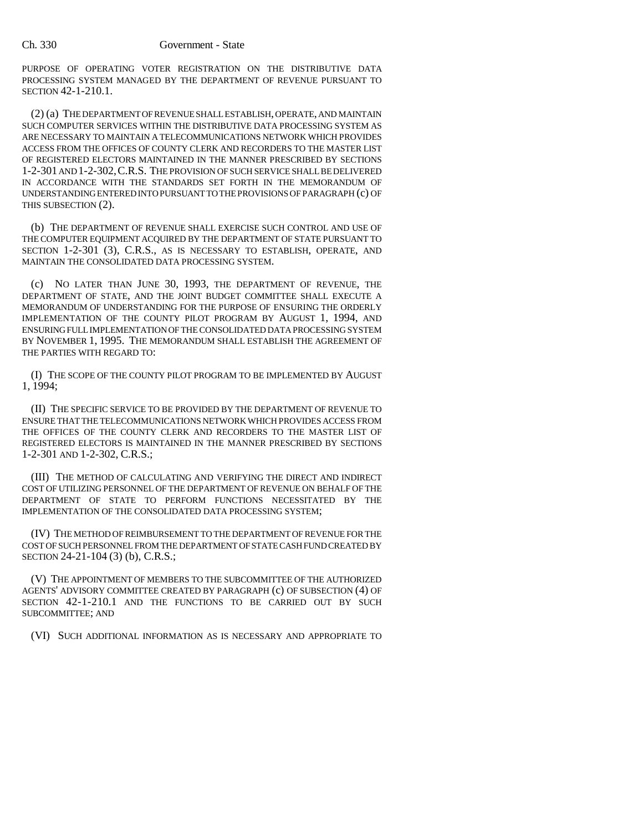PURPOSE OF OPERATING VOTER REGISTRATION ON THE DISTRIBUTIVE DATA PROCESSING SYSTEM MANAGED BY THE DEPARTMENT OF REVENUE PURSUANT TO SECTION 42-1-210.1.

(2) (a) THE DEPARTMENT OF REVENUE SHALL ESTABLISH, OPERATE, AND MAINTAIN SUCH COMPUTER SERVICES WITHIN THE DISTRIBUTIVE DATA PROCESSING SYSTEM AS ARE NECESSARY TO MAINTAIN A TELECOMMUNICATIONS NETWORK WHICH PROVIDES ACCESS FROM THE OFFICES OF COUNTY CLERK AND RECORDERS TO THE MASTER LIST OF REGISTERED ELECTORS MAINTAINED IN THE MANNER PRESCRIBED BY SECTIONS 1-2-301 AND 1-2-302,C.R.S. THE PROVISION OF SUCH SERVICE SHALL BE DELIVERED IN ACCORDANCE WITH THE STANDARDS SET FORTH IN THE MEMORANDUM OF UNDERSTANDING ENTERED INTO PURSUANT TO THE PROVISIONS OF PARAGRAPH (c) OF THIS SUBSECTION (2).

(b) THE DEPARTMENT OF REVENUE SHALL EXERCISE SUCH CONTROL AND USE OF THE COMPUTER EQUIPMENT ACQUIRED BY THE DEPARTMENT OF STATE PURSUANT TO SECTION 1-2-301 (3), C.R.S., AS IS NECESSARY TO ESTABLISH, OPERATE, AND MAINTAIN THE CONSOLIDATED DATA PROCESSING SYSTEM.

(c) NO LATER THAN JUNE 30, 1993, THE DEPARTMENT OF REVENUE, THE DEPARTMENT OF STATE, AND THE JOINT BUDGET COMMITTEE SHALL EXECUTE A MEMORANDUM OF UNDERSTANDING FOR THE PURPOSE OF ENSURING THE ORDERLY IMPLEMENTATION OF THE COUNTY PILOT PROGRAM BY AUGUST 1, 1994, AND ENSURING FULL IMPLEMENTATION OF THE CONSOLIDATED DATA PROCESSING SYSTEM BY NOVEMBER 1, 1995. THE MEMORANDUM SHALL ESTABLISH THE AGREEMENT OF THE PARTIES WITH REGARD TO:

(I) THE SCOPE OF THE COUNTY PILOT PROGRAM TO BE IMPLEMENTED BY AUGUST 1, 1994;

(II) THE SPECIFIC SERVICE TO BE PROVIDED BY THE DEPARTMENT OF REVENUE TO ENSURE THAT THE TELECOMMUNICATIONS NETWORK WHICH PROVIDES ACCESS FROM THE OFFICES OF THE COUNTY CLERK AND RECORDERS TO THE MASTER LIST OF REGISTERED ELECTORS IS MAINTAINED IN THE MANNER PRESCRIBED BY SECTIONS 1-2-301 AND 1-2-302, C.R.S.;

(III) THE METHOD OF CALCULATING AND VERIFYING THE DIRECT AND INDIRECT COST OF UTILIZING PERSONNEL OF THE DEPARTMENT OF REVENUE ON BEHALF OF THE DEPARTMENT OF STATE TO PERFORM FUNCTIONS NECESSITATED BY THE IMPLEMENTATION OF THE CONSOLIDATED DATA PROCESSING SYSTEM;

(IV) THE METHOD OF REIMBURSEMENT TO THE DEPARTMENT OF REVENUE FOR THE COST OF SUCH PERSONNEL FROM THE DEPARTMENT OF STATE CASH FUND CREATED BY SECTION 24-21-104 (3) (b), C.R.S.;

(V) THE APPOINTMENT OF MEMBERS TO THE SUBCOMMITTEE OF THE AUTHORIZED AGENTS' ADVISORY COMMITTEE CREATED BY PARAGRAPH (c) OF SUBSECTION (4) OF SECTION 42-1-210.1 AND THE FUNCTIONS TO BE CARRIED OUT BY SUCH SUBCOMMITTEE; AND

(VI) SUCH ADDITIONAL INFORMATION AS IS NECESSARY AND APPROPRIATE TO